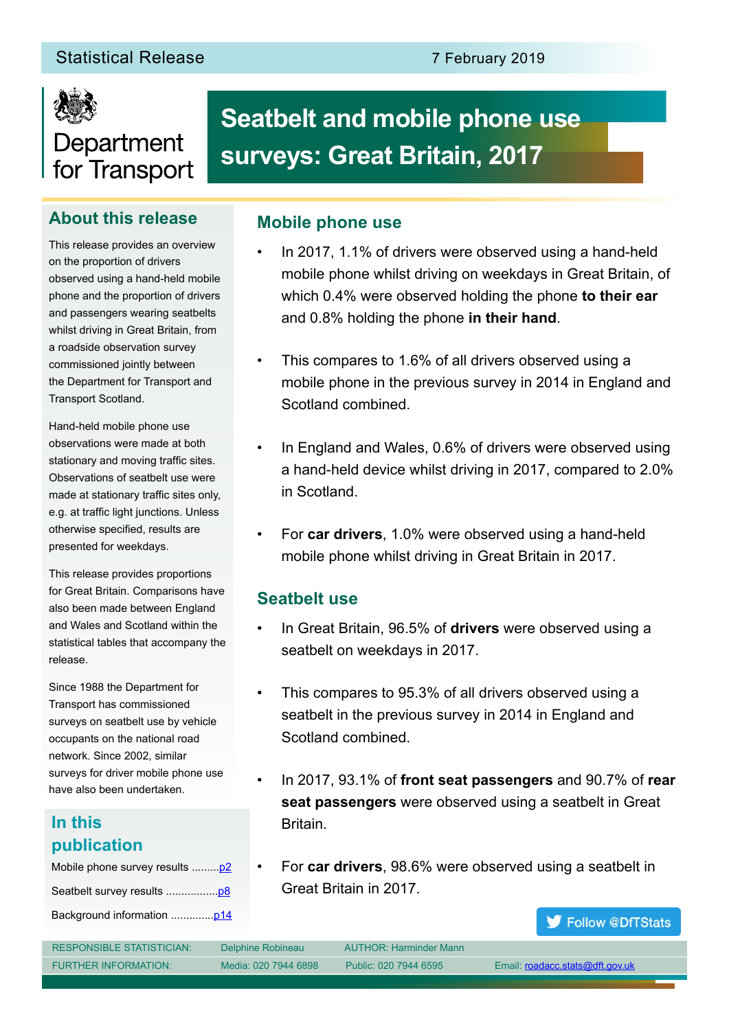

# Department for Transport

## **About this release**

This release provides an overview on the proportion of drivers observed using a hand-held mobile phone and the proportion of drivers and passengers wearing seatbelts whilst driving in Great Britain, from a roadside observation survey commissioned jointly between the Department for Transport and Transport Scotland.

Hand-held mobile phone use observations were made at both stationary and moving traffic sites. Observations of seatbelt use were made at stationary traffic sites only, e.g. at traffic light junctions. Unless otherwise specified, results are presented for weekdays.

This release provides proportions for Great Britain. Comparisons have also been made between England and Wales and Scotland within the statistical tables that accompany the release.

Since 1988 the Department for Transport has commissioned surveys on seatbelt use by vehicle occupants on the national road network. Since 2002, similar surveys for driver mobile phone use have also been undertaken.

# **In this publication**

| Mobile phone survey results  p2 |
|---------------------------------|
|                                 |
|                                 |

# **Seatbelt and mobile phone use surveys: Great Britain, 2017**

### **Mobile phone use**

- In 2017, 1.1% of drivers were observed using a hand-held mobile phone whilst driving on weekdays in Great Britain, of which 0.4% were observed holding the phone **to their ear** and 0.8% holding the phone **in their hand**.
- This compares to 1.6% of all drivers observed using a mobile phone in the previous survey in 2014 in England and Scotland combined.
- In England and Wales, 0.6% of drivers were observed using a hand-held device whilst driving in 2017, compared to 2.0% in Scotland.
- For **car drivers**, 1.0% were observed using a hand-held mobile phone whilst driving in Great Britain in 2017.

### **Seatbelt use**

- In Great Britain, 96.5% of **drivers** were observed using a seatbelt on weekdays in 2017.
- This compares to 95.3% of all drivers observed using a seatbelt in the previous survey in 2014 in England and Scotland combined.
- In 2017, 93.1% of **front seat passengers** and 90.7% of **rear seat passengers** were observed using a seatbelt in Great Britain.
- For **car drivers**, 98.6% were observed using a seatbelt in Great Britain in 2017.

Follow @DfTStats

| <b>RESPONSIBLE STATISTICIAN:</b> | Delphine Robineau    | <b>AUTHOR: Harminder Mann</b> |                                 |
|----------------------------------|----------------------|-------------------------------|---------------------------------|
| <b>FURTHER INFORMATION:</b>      | Media: 020 7944 6898 | Public: 020 7944 6595         | Email: roadacc.stats@dft.gov.uk |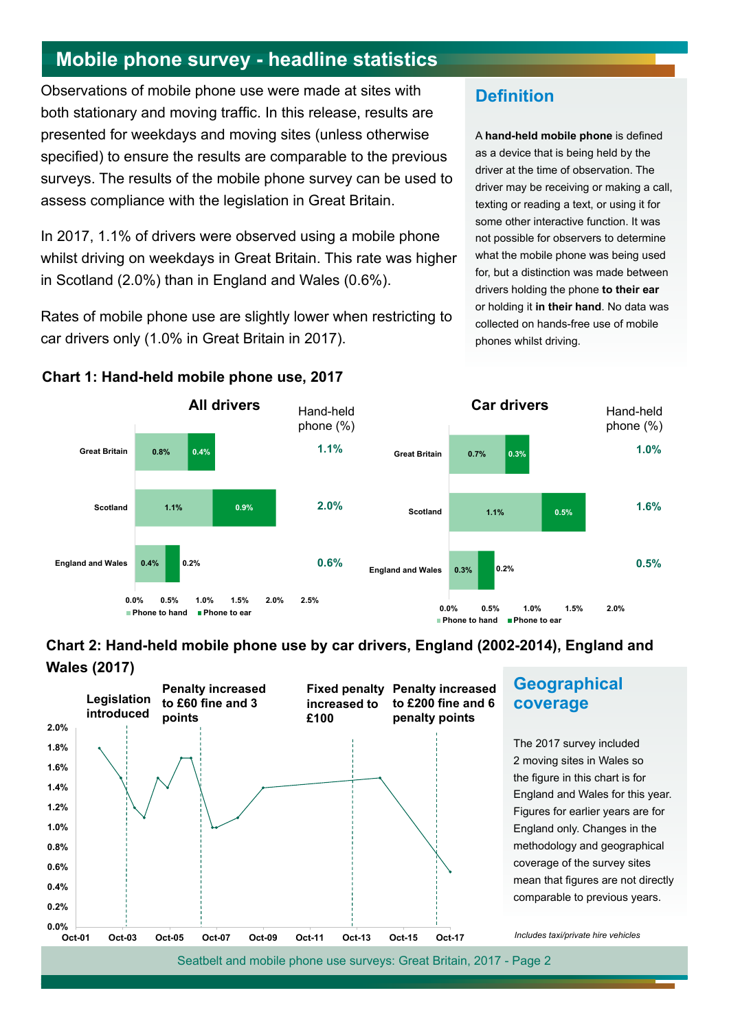# <span id="page-1-0"></span>**Mobile phone survey - headline statistics**

Observations of mobile phone use were made at sites with both stationary and moving traffic. In this release, results are presented for weekdays and moving sites (unless otherwise specified) to ensure the results are comparable to the previous surveys. The results of the mobile phone survey can be used to assess compliance with the legislation in Great Britain.

In 2017, 1.1% of drivers were observed using a mobile phone whilst driving on weekdays in Great Britain. This rate was higher in Scotland (2.0%) than in England and Wales (0.6%).

Rates of mobile phone use are slightly lower when restricting to car drivers only (1.0% in Great Britain in 2017).

**Chart 1: Hand-held mobile phone use, 2017**

### **Definition**

A **hand-held mobile phone** is defined as a device that is being held by the driver at the time of observation. The driver may be receiving or making a call, texting or reading a text, or using it for some other interactive function. It was not possible for observers to determine what the mobile phone was being used for, but a distinction was made between drivers holding the phone **to their ear** or holding it **in their hand**. No data was collected on hands-free use of mobile phones whilst driving.



### **Chart 2: Hand-held mobile phone use by car drivers, England (2002-2014), England and Wales (2017)**



### **Geographical coverage**

The 2017 survey included 2 moving sites in Wales so the figure in this chart is for England and Wales for this year. Figures for earlier years are for England only. Changes in the methodology and geographical coverage of the survey sites mean that figures are not directly comparable to previous years.

*Includes taxi/private hire vehicles*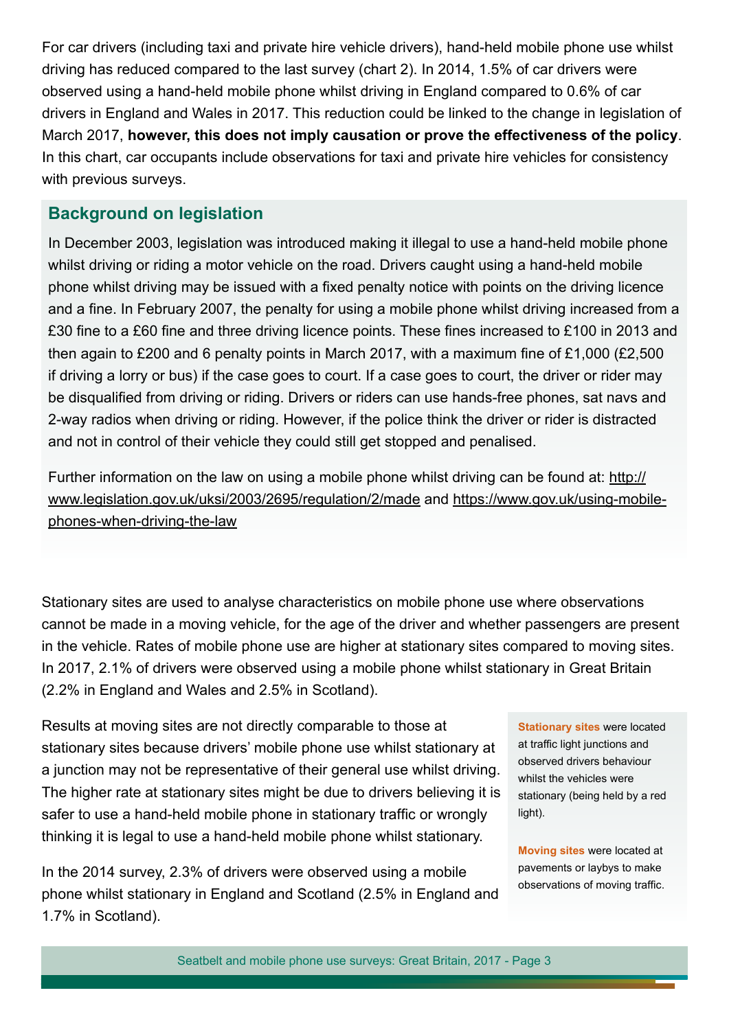For car drivers (including taxi and private hire vehicle drivers), hand-held mobile phone use whilst driving has reduced compared to the last survey (chart 2). In 2014, 1.5% of car drivers were observed using a hand-held mobile phone whilst driving in England compared to 0.6% of car drivers in England and Wales in 2017. This reduction could be linked to the change in legislation of March 2017, **however, this does not imply causation or prove the effectiveness of the policy**. In this chart, car occupants include observations for taxi and private hire vehicles for consistency with previous surveys.

### **Background on legislation**

In December 2003, legislation was introduced making it illegal to use a hand-held mobile phone whilst driving or riding a motor vehicle on the road. Drivers caught using a hand-held mobile phone whilst driving may be issued with a fixed penalty notice with points on the driving licence and a fine. In February 2007, the penalty for using a mobile phone whilst driving increased from a £30 fine to a £60 fine and three driving licence points. These fines increased to £100 in 2013 and then again to £200 and 6 penalty points in March 2017, with a maximum fine of £1,000 (£2,500 if driving a lorry or bus) if the case goes to court. If a case goes to court, the driver or rider may be disqualified from driving or riding. Drivers or riders can use hands-free phones, sat navs and 2-way radios when driving or riding. However, if the police think the driver or rider is distracted and not in control of their vehicle they could still get stopped and penalised.

Further information on the law on using a mobile phone whilst driving can be found at: [http://](http://www.legislation.gov.uk/uksi/2003/2695/regulation/2/made) [www.legislation.gov.uk/uksi/2003/2695/regulation/2/made](http://www.legislation.gov.uk/uksi/2003/2695/regulation/2/made) and [https://www.gov.uk/using-mobile](https://www.gov.uk/using-mobile-phones-when-driving-the-law)[phones-when-driving-the-law](https://www.gov.uk/using-mobile-phones-when-driving-the-law)

Stationary sites are used to analyse characteristics on mobile phone use where observations cannot be made in a moving vehicle, for the age of the driver and whether passengers are present in the vehicle. Rates of mobile phone use are higher at stationary sites compared to moving sites. In 2017, 2.1% of drivers were observed using a mobile phone whilst stationary in Great Britain (2.2% in England and Wales and 2.5% in Scotland).

Results at moving sites are not directly comparable to those at stationary sites because drivers' mobile phone use whilst stationary at a junction may not be representative of their general use whilst driving. The higher rate at stationary sites might be due to drivers believing it is safer to use a hand-held mobile phone in stationary traffic or wrongly thinking it is legal to use a hand-held mobile phone whilst stationary.

In the 2014 survey, 2.3% of drivers were observed using a mobile phone whilst stationary in England and Scotland (2.5% in England and 1.7% in Scotland).

**Stationary sites** were located at traffic light junctions and observed drivers behaviour whilst the vehicles were stationary (being held by a red light).

**Moving sites** were located at pavements or laybys to make observations of moving traffic.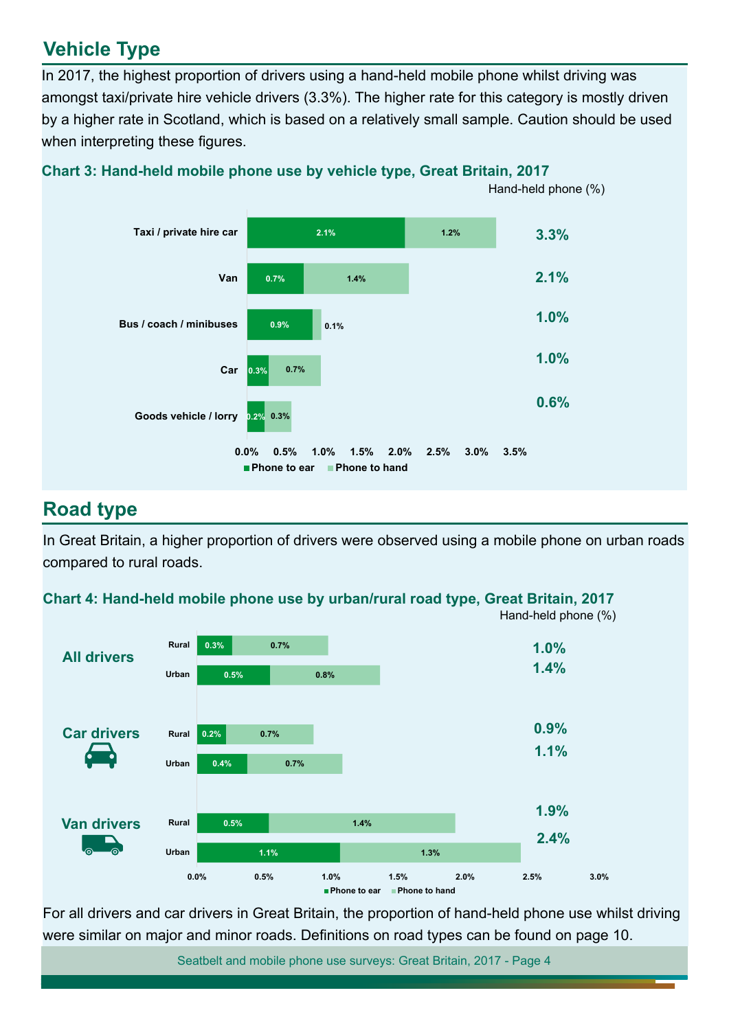# **Vehicle Type**

In 2017, the highest proportion of drivers using a hand-held mobile phone whilst driving was amongst taxi/private hire vehicle drivers (3.3%). The higher rate for this category is mostly driven by a higher rate in Scotland, which is based on a relatively small sample. Caution should be used when interpreting these figures.



**Chart 3: Hand-held mobile phone use by vehicle type, Great Britain, 2017**

# **Road type**

In Great Britain, a higher proportion of drivers were observed using a mobile phone on urban roads compared to rural roads.





For all drivers and car drivers in Great Britain, the proportion of hand-held phone use whilst driving were similar on major and minor roads. Definitions on road types can be found on page 10.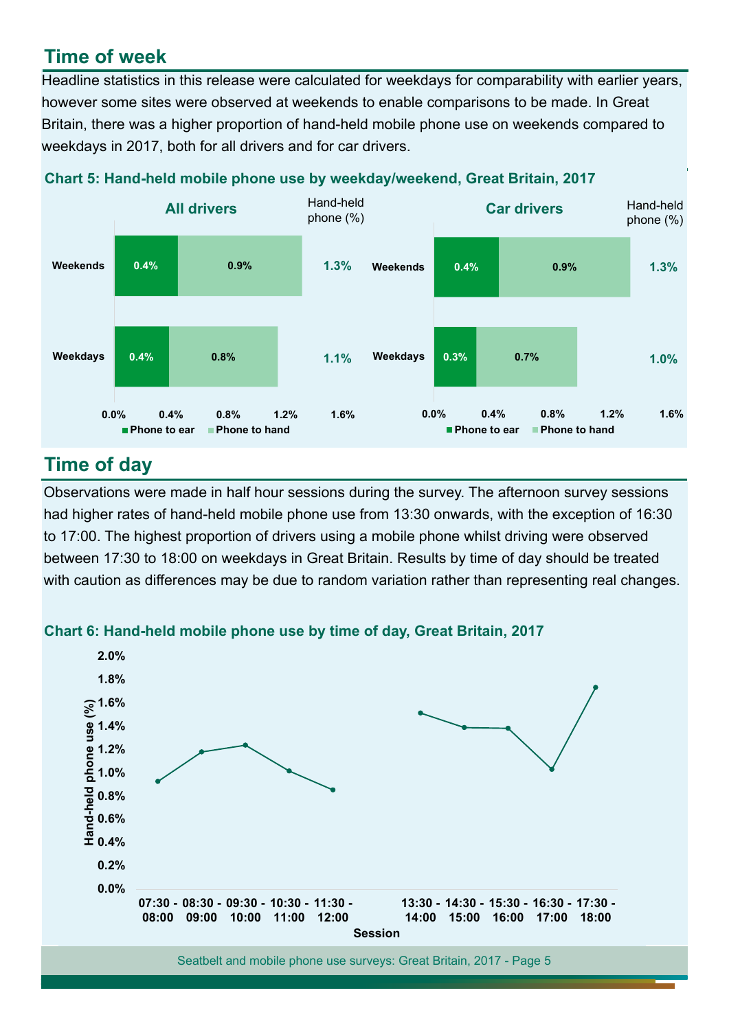# **Time of week**

Headline statistics in this release were calculated for weekdays for comparability with earlier years, however some sites were observed at weekends to enable comparisons to be made. In Great Britain, there was a higher proportion of hand-held mobile phone use on weekends compared to weekdays in 2017, both for all drivers and for car drivers.





# **Time of day**

Observations were made in half hour sessions during the survey. The afternoon survey sessions had higher rates of hand-held mobile phone use from 13:30 onwards, with the exception of 16:30 to 17:00. The highest proportion of drivers using a mobile phone whilst driving were observed between 17:30 to 18:00 on weekdays in Great Britain. Results by time of day should be treated with caution as differences may be due to random variation rather than representing real changes.



**Chart 6: Hand-held mobile phone use by time of day, Great Britain, 2017**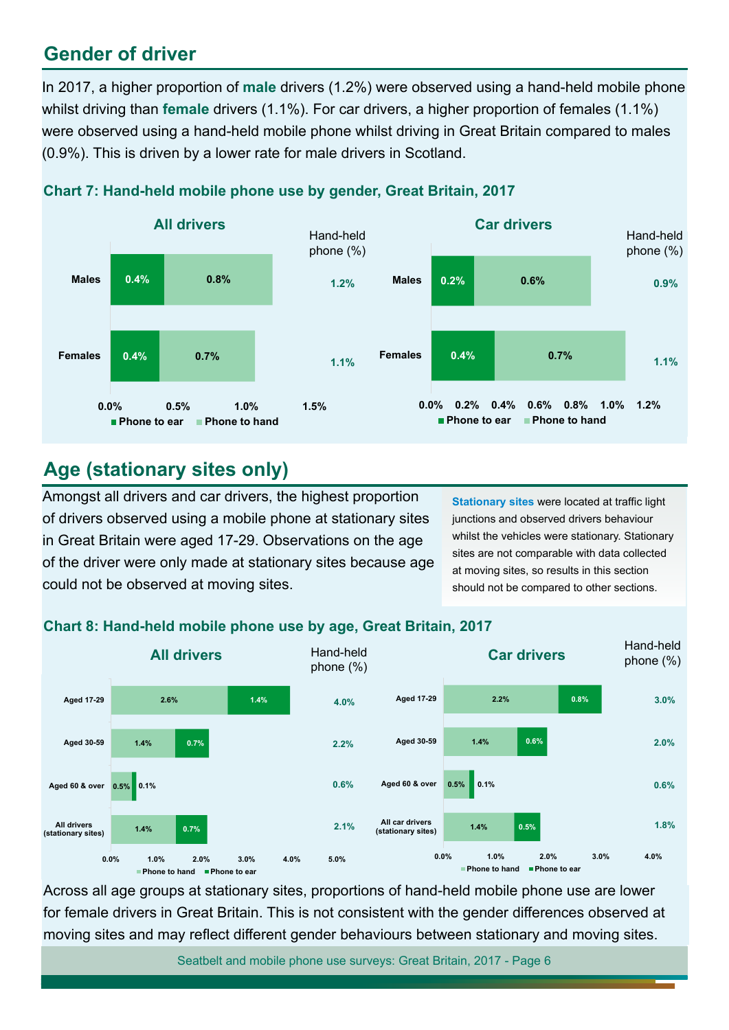# **Gender of driver**

In 2017, a higher proportion of **male** drivers (1.2%) were observed using a hand-held mobile phone whilst driving than **female** drivers (1.1%). For car drivers, a higher proportion of females (1.1%) were observed using a hand-held mobile phone whilst driving in Great Britain compared to males (0.9%). This is driven by a lower rate for male drivers in Scotland.



### **Chart 7: Hand-held mobile phone use by gender, Great Britain, 2017**

# **Age (stationary sites only)**

Amongst all drivers and car drivers, the highest proportion of drivers observed using a mobile phone at stationary sites in Great Britain were aged 17-29. Observations on the age of the driver were only made at stationary sites because age could not be observed at moving sites.

**Stationary sites** were located at traffic light junctions and observed drivers behaviour whilst the vehicles were stationary. Stationary sites are not comparable with data collected at moving sites, so results in this section should not be compared to other sections.

### **Chart 8: Hand-held mobile phone use by age, Great Britain, 2017**



Across all age groups at stationary sites, proportions of hand-held mobile phone use are lower for female drivers in Great Britain. This is not consistent with the gender differences observed at moving sites and may reflect different gender behaviours between stationary and moving sites.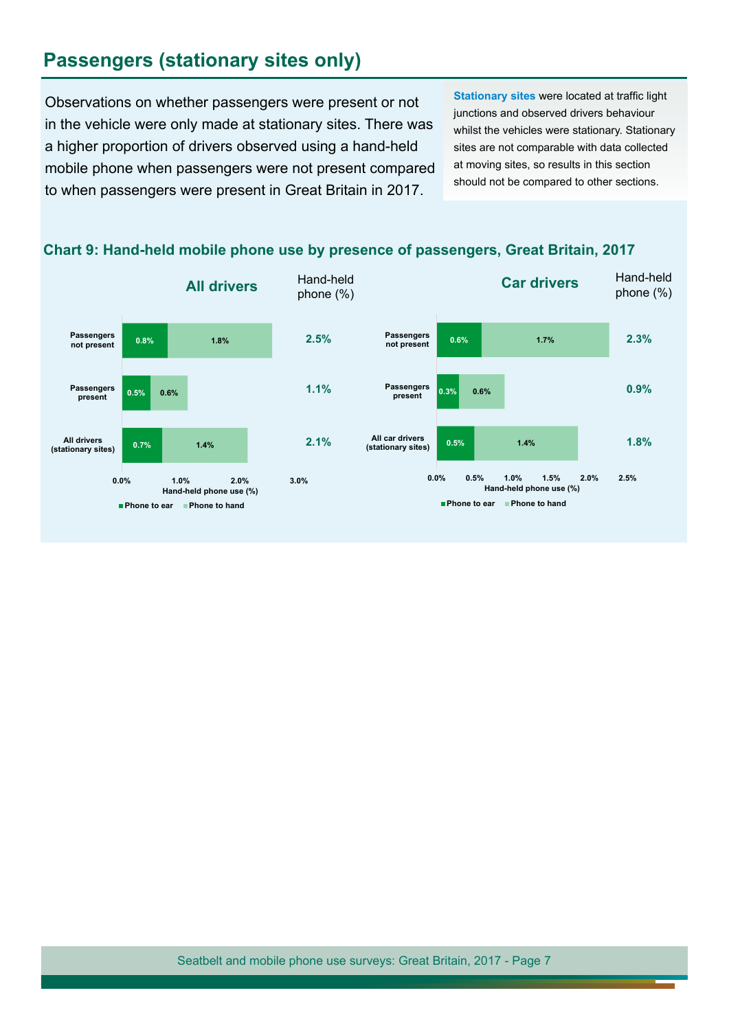# **Passengers (stationary sites only)**

Observations on whether passengers were present or not in the vehicle were only made at stationary sites. There was a higher proportion of drivers observed using a hand-held mobile phone when passengers were not present compared to when passengers were present in Great Britain in 2017.

**Stationary sites** were located at traffic light junctions and observed drivers behaviour whilst the vehicles were stationary. Stationary sites are not comparable with data collected at moving sites, so results in this section should not be compared to other sections.



#### **Chart 9: Hand-held mobile phone use by presence of passengers, Great Britain, 2017**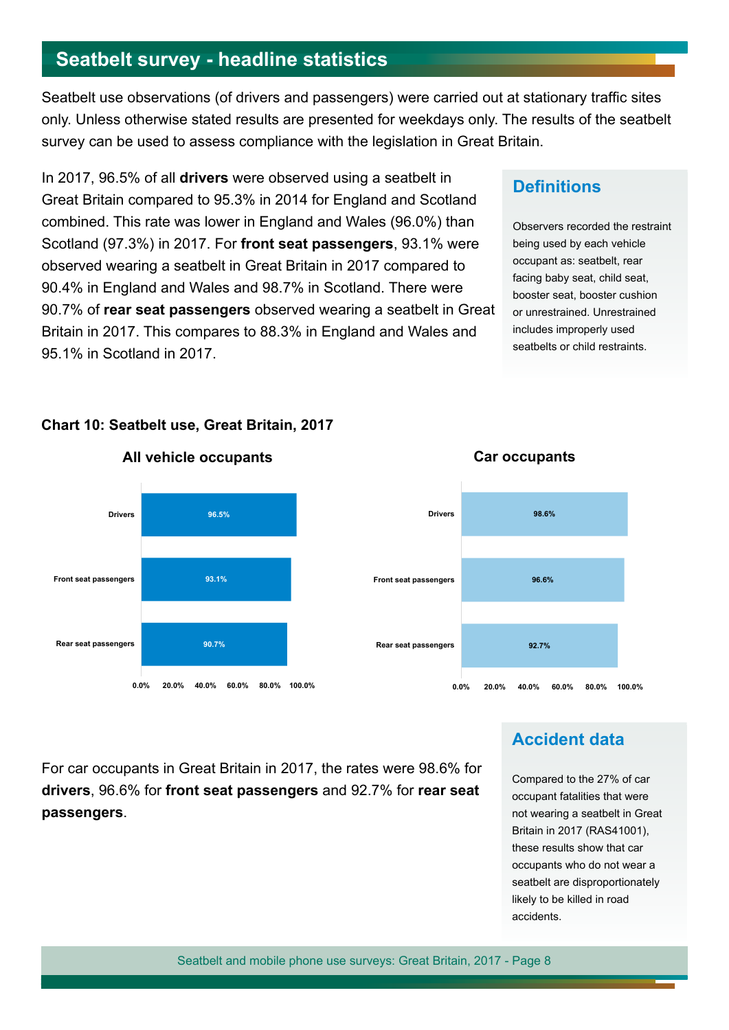# **Seatbelt survey - headline statistics**

Seatbelt use observations (of drivers and passengers) were carried out at stationary traffic sites only. Unless otherwise stated results are presented for weekdays only. The results of the seatbelt survey can be used to assess compliance with the legislation in Great Britain.

In 2017, 96.5% of all **drivers** were observed using a seatbelt in Great Britain compared to 95.3% in 2014 for England and Scotland combined. This rate was lower in England and Wales (96.0%) than Scotland (97.3%) in 2017. For **front seat passengers**, 93.1% were observed wearing a seatbelt in Great Britain in 2017 compared to 90.4% in England and Wales and 98.7% in Scotland. There were 90.7% of **rear seat passengers** observed wearing a seatbelt in Great Britain in 2017. This compares to 88.3% in England and Wales and 95.1% in Scotland in 2017.

### **Definitions**

Observers recorded the restraint being used by each vehicle occupant as: seatbelt, rear facing baby seat, child seat, booster seat, booster cushion or unrestrained. Unrestrained includes improperly used seatbelts or child restraints.



#### **Chart 10: Seatbelt use, Great Britain, 2017**



**Car occupants**

#### **All vehicle occupants**

**Accident data**

For car occupants in Great Britain in 2017, the rates were 98.6% for **drivers**, 96.6% for **front seat passengers** and 92.7% for **rear seat passengers**.

#### Compared to the 27% of car occupant fatalities that were not wearing a seatbelt in Great Britain in 2017 [\(RAS41001](https://www.gov.uk/government/statistical-data-sets/ras41-reported-casualties-rates)), these results show that car occupants who do not wear a seatbelt are disproportionately likely to be killed in road accidents.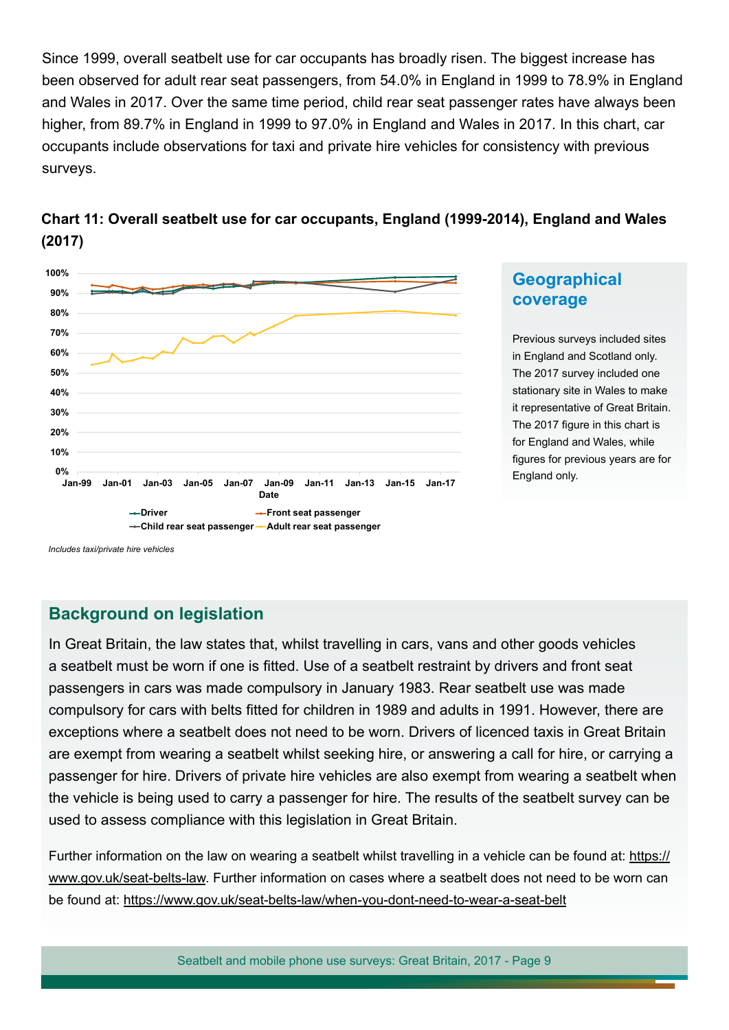Since 1999, overall seatbelt use for car occupants has broadly risen. The biggest increase has been observed for adult rear seat passengers, from 54.0% in England in 1999 to 78.9% in England and Wales in 2017. Over the same time period, child rear seat passenger rates have always been higher, from 89.7% in England in 1999 to 97.0% in England and Wales in 2017. In this chart, car occupants include observations for taxi and private hire vehicles for consistency with previous surveys.





### **Geographical coverage**

Previous surveys included sites in England and Scotland only. The 2017 survey included one stationary site in Wales to make it representative of Great Britain. The 2017 figure in this chart is for England and Wales, while figures for previous years are for England only.

*Includes taxi/private hire vehicles*

### **Background on legislation**

In Great Britain, the law states that, whilst travelling in cars, vans and other goods vehicles a seatbelt must be worn if one is fitted. Use of a seatbelt restraint by drivers and front seat passengers in cars was made compulsory in January 1983. Rear seatbelt use was made compulsory for cars with belts fitted for children in 1989 and adults in 1991. However, there are exceptions where a seatbelt does not need to be worn. Drivers of licenced taxis in Great Britain are exempt from wearing a seatbelt whilst seeking hire, or answering a call for hire, or carrying a passenger for hire. Drivers of private hire vehicles are also exempt from wearing a seatbelt when the vehicle is being used to carry a passenger for hire. The results of the seatbelt survey can be used to assess compliance with this legislation in Great Britain.

Further information on the law on wearing a seatbelt whilst travelling in a vehicle can be found at: [https://](https://www.gov.uk/seat-belts-law) [www.gov.uk/seat-belts-law.](https://www.gov.uk/seat-belts-law) Further information on cases where a seatbelt does not need to be worn can be found at: <https://www.gov.uk/seat-belts-law/when-you-dont-need-to-wear-a-seat-belt>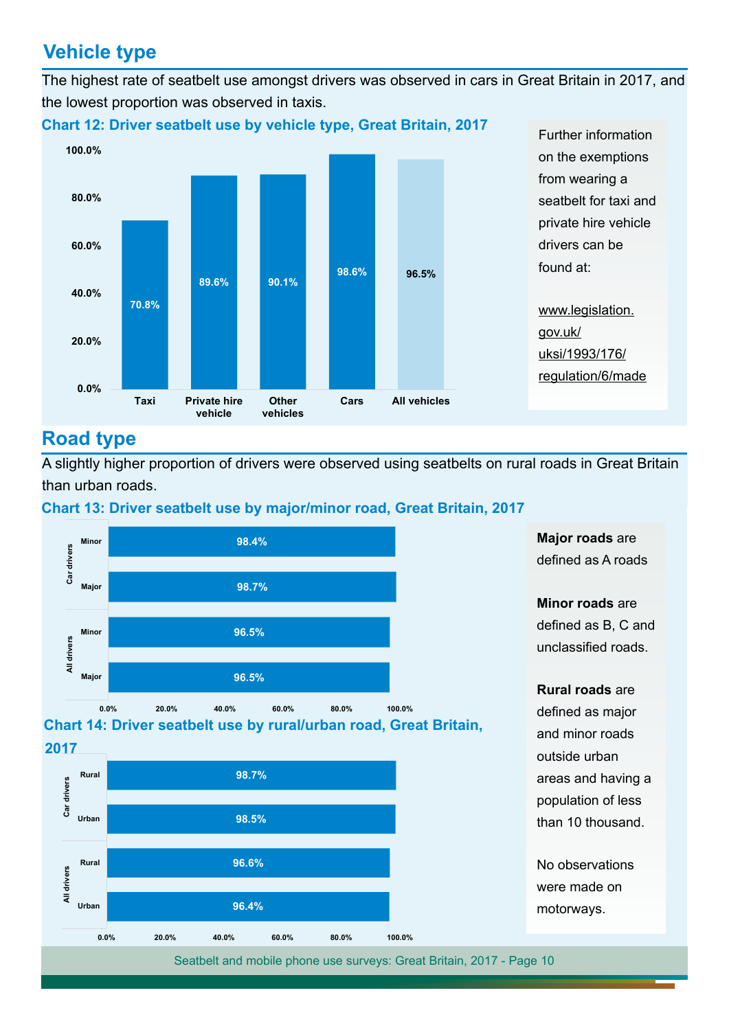# **Vehicle type**

The highest rate of seatbelt use amongst drivers was observed in cars in Great Britain in 2017, and the lowest proportion was observed in taxis.



# **Road type**

A slightly higher proportion of drivers were observed using seatbelts on rural roads in Great Britain than urban roads.



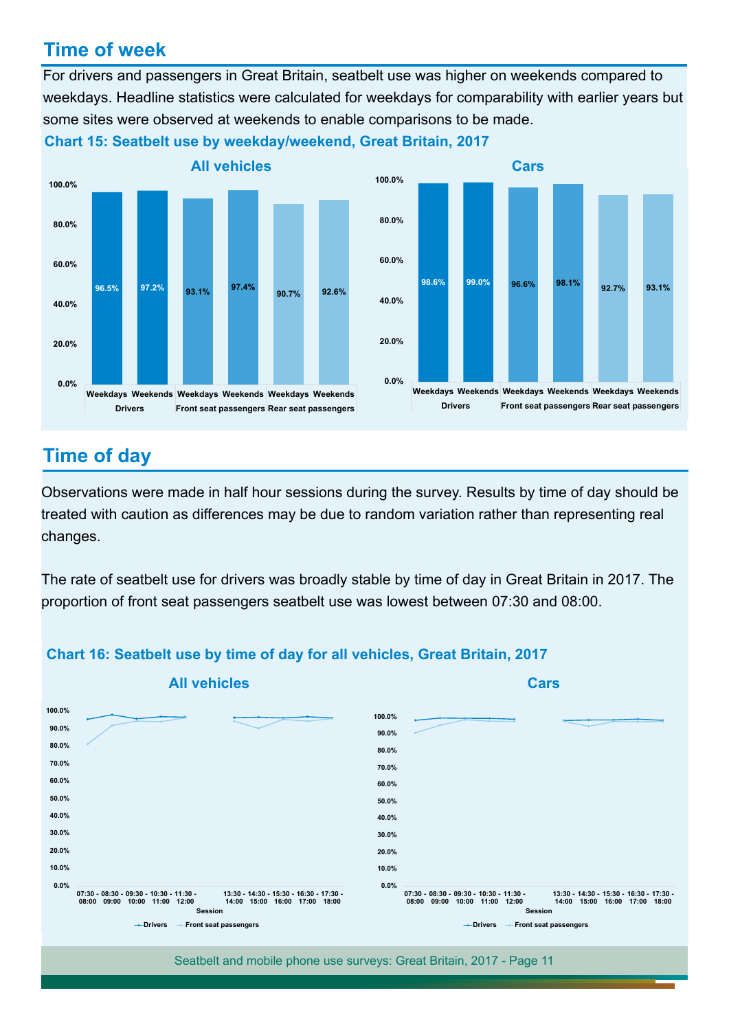# **Time of week**

For drivers and passengers in Great Britain, seatbelt use was higher on weekends compared to weekdays. Headline statistics were calculated for weekdays for comparability with earlier years but some sites were observed at weekends to enable comparisons to be made.



**Chart 15: Seatbelt use by weekday/weekend, Great Britain, 2017**

# **Time of day**

Observations were made in half hour sessions during the survey. Results by time of day should be treated with caution as differences may be due to random variation rather than representing real changes.

The rate of seatbelt use for drivers was broadly stable by time of day in Great Britain in 2017. The proportion of front seat passengers seatbelt use was lowest between 07:30 and 08:00.



#### **Chart 16: Seatbelt use by time of day for all vehicles, Great Britain, 2017**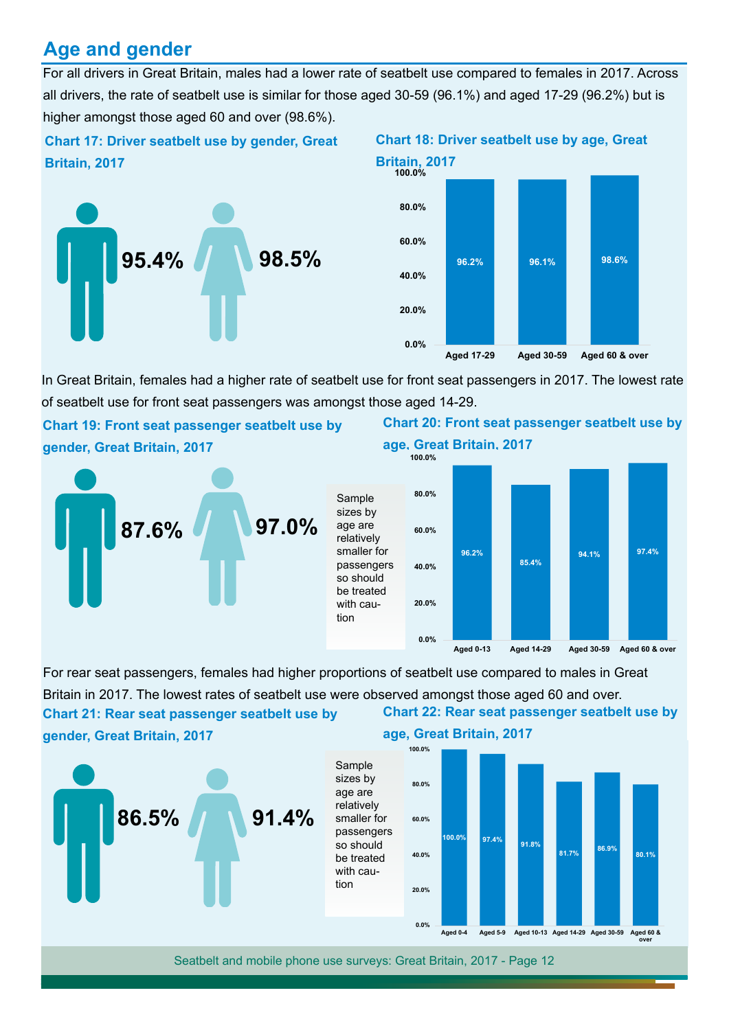# **Age and gender**

all drivers, the rate of seatbelt use is similar for those aged 30-59 (96.1%) and aged 17-29 (96.2%) but is higher amongst those aged 60 and over (98.6%). For all drivers in Great Britain, males had a lower rate of seatbelt use compared to females in 2017. Across

### **Chart 17: Driver seatbelt use by gender, Great Chart 18: Driver seatbelt use by age, Great Britain, 2017 Britain, 2017**





In Great Britain, females had a higher rate of seatbelt use for front seat passengers in 2017. The lowest rate of seatbelt use for front seat passengers was amongst those aged 14-29.

**Chart 19: Front seat passenger seatbelt use by Chart 20: Front seat passenger seatbelt use by gender, Great Britain, 2017 age, Great Britain, 2017**





**Aged 0-13 Aged 14-29 Aged 30-59 Aged 60 & over**



#### **Chart 22: Rear seat passenger seatbelt use by**  For rear seat passengers, females had higher proportions of seatbelt use compared to males in Great Britain in 2017. The lowest rates of seatbelt use were observed amongst those aged 60 and over. **Chart 21: Rear seat passenger seatbelt use by**

Sample sizes by age are relatively

so should be treated with caution

**gender, Great Britain, 2017**



#### **age, Great Britain, 2017**

**0.0%**

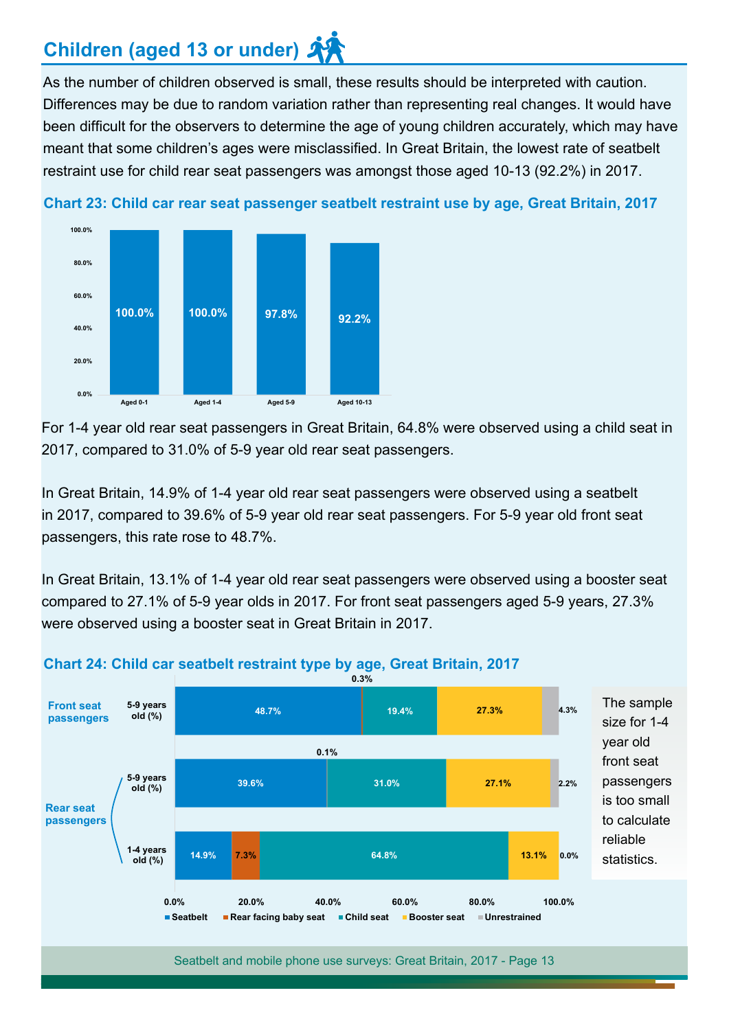# **Children (aged 13 or under)**

As the number of children observed is small, these results should be interpreted with caution. Differences may be due to random variation rather than representing real changes. It would have been difficult for the observers to determine the age of young children accurately, which may have meant that some children's ages were misclassified. In Great Britain, the lowest rate of seatbelt restraint use for child rear seat passengers was amongst those aged 10-13 (92.2%) in 2017.



**Chart 23: Child car rear seat passenger seatbelt restraint use by age, Great Britain, 2017**

For 1-4 year old rear seat passengers in Great Britain, 64.8% were observed using a child seat in 2017, compared to 31.0% of 5-9 year old rear seat passengers.

In Great Britain, 14.9% of 1-4 year old rear seat passengers were observed using a seatbelt in 2017, compared to 39.6% of 5-9 year old rear seat passengers. For 5-9 year old front seat passengers, this rate rose to 48.7%.

In Great Britain, 13.1% of 1-4 year old rear seat passengers were observed using a booster seat compared to 27.1% of 5-9 year olds in 2017. For front seat passengers aged 5-9 years, 27.3% were observed using a booster seat in Great Britain in 2017.



#### **Chart 24: Child car seatbelt restraint type by age, Great Britain, 2017**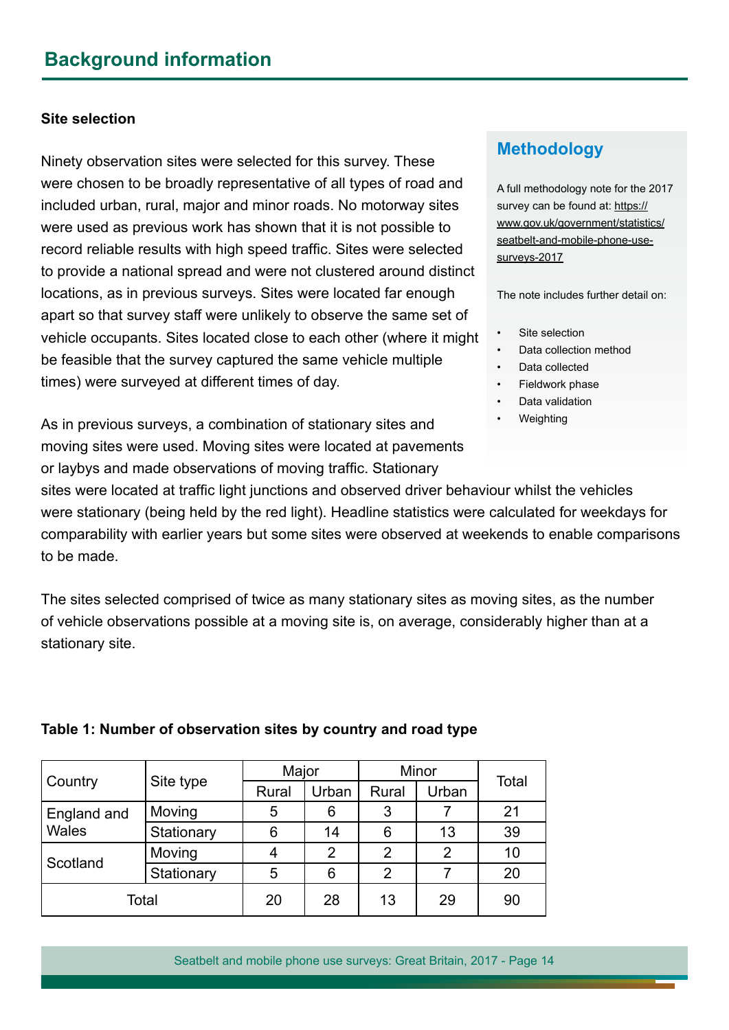#### **Site selection**

Ninety observation sites were selected for this survey. These were chosen to be broadly representative of all types of road and included urban, rural, major and minor roads. No motorway sites were used as previous work has shown that it is not possible to record reliable results with high speed traffic. Sites were selected to provide a national spread and were not clustered around distinct locations, as in previous surveys. Sites were located far enough apart so that survey staff were unlikely to observe the same set of vehicle occupants. Sites located close to each other (where it might be feasible that the survey captured the same vehicle multiple times) were surveyed at different times of day.

As in previous surveys, a combination of stationary sites and moving sites were used. Moving sites were located at pavements or laybys and made observations of moving traffic. Stationary

## **Methodology**

A full methodology note for the 2017 survey can be found at: [https://](https://www.gov.uk/government/statistics/seatbelt-and-mobile-phone-use-surveys-2017) [www.gov.uk/government/statistics/](https://www.gov.uk/government/statistics/seatbelt-and-mobile-phone-use-surveys-2017) [seatbelt-and-mobile-phone-use](https://www.gov.uk/government/statistics/seatbelt-and-mobile-phone-use-surveys-2017)[surveys-2017](https://www.gov.uk/government/statistics/seatbelt-and-mobile-phone-use-surveys-2017)

The note includes further detail on:

- Site selection
- Data collection method
- Data collected
- Fieldwork phase
- Data validation
- Weighting

sites were located at traffic light junctions and observed driver behaviour whilst the vehicles were stationary (being held by the red light). Headline statistics were calculated for weekdays for comparability with earlier years but some sites were observed at weekends to enable comparisons to be made.

The sites selected comprised of twice as many stationary sites as moving sites, as the number of vehicle observations possible at a moving site is, on average, considerably higher than at a stationary site.

#### **Table 1: Number of observation sites by country and road type**

|             | Site type  | Major |       | Minor |                |       |
|-------------|------------|-------|-------|-------|----------------|-------|
| Country     |            | Rural | Urban | Rural | Urban          | Total |
| England and | Moving     | 5     | 6     |       |                | 21    |
| Wales       | Stationary | 6     | 14    | 6     | 13             | 39    |
| Scotland    | Moving     | 4     | 2     | 2     | $\overline{2}$ | 10    |
|             | Stationary | 5     | 6     | 2     |                | 20    |
| Total       |            | 20    | 28    | 13    | 29             | 90    |